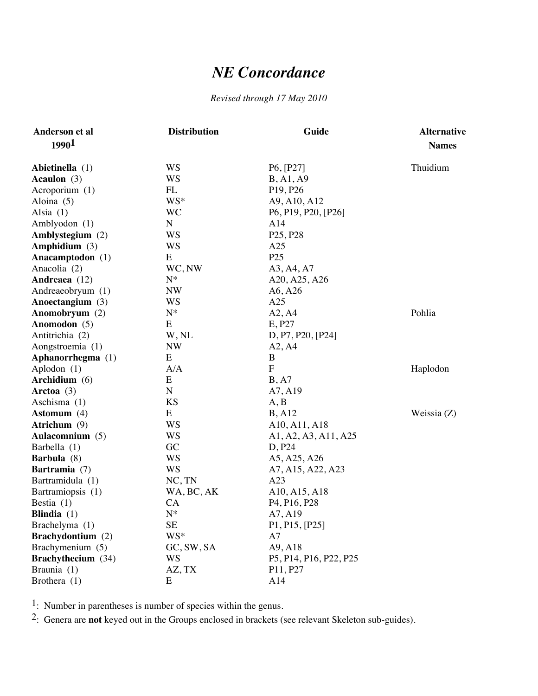## *NE Concordance*

## *Revised through 17 May 2010*

| Anderson et al            | <b>Distribution</b> | Guide                                              | <b>Alternative</b> |
|---------------------------|---------------------|----------------------------------------------------|--------------------|
| 1990 <sup>1</sup>         |                     |                                                    | <b>Names</b>       |
| Abietinella (1)           | <b>WS</b>           | P6, [P27]                                          | Thuidium           |
| Acaulon $(3)$             | <b>WS</b>           | B, A1, A9                                          |                    |
| Acroporium (1)            | FL                  | P <sub>19</sub> , P <sub>26</sub>                  |                    |
| Aloina $(5)$              | WS*                 | A9, A10, A12                                       |                    |
| Alsia $(1)$               | <b>WC</b>           | P6, P19, P20, [P26]                                |                    |
| Amblyodon (1)             | $\mathbf N$         | A14                                                |                    |
| Amblystegium (2)          | WS                  | P <sub>25</sub> , P <sub>28</sub>                  |                    |
| Amphidium (3)             | WS                  | A25                                                |                    |
| Anacamptodon (1)          | ${\bf E}$           | P <sub>25</sub>                                    |                    |
| Anacolia (2)              | WC, NW              | A3, A4, A7                                         |                    |
| Andreaea (12)             | $N^*$               | A20, A25, A26                                      |                    |
| Andreaeobryum (1)         | <b>NW</b>           | A6, A26                                            |                    |
| Anoectangium (3)          | WS                  | A25                                                |                    |
| Anomobryum (2)            | $N^*$               | A2, A4                                             | Pohlia             |
| Anomodon (5)              | E                   | E, P27                                             |                    |
| Antitrichia (2)           | W, NL               | D, P7, P20, [P24]                                  |                    |
| Aongstroemia (1)          | <b>NW</b>           | A2, A4                                             |                    |
| Aphanorrhegma (1)         | E                   | $\bf{B}$                                           |                    |
| Aplodon (1)               | A/A                 | $\mathbf{F}$                                       | Haplodon           |
| Archidium (6)             | Ε                   | B, A7                                              |                    |
| Arctoa $(3)$              | $\overline{N}$      | A7, A19                                            |                    |
| Aschisma (1)              | <b>KS</b>           | A, B                                               |                    |
| Astomum (4)               | ${\bf E}$           | B, A12                                             | Weissia $(Z)$      |
| Atrichum (9)              | WS                  | A10, A11, A18                                      |                    |
| Aulacomnium (5)           | WS                  | A1, A2, A3, A11, A25                               |                    |
| Barbella (1)              | GC                  | D, P24                                             |                    |
| Barbula (8)               | <b>WS</b>           | A5, A25, A26                                       |                    |
| Bartramia (7)             | <b>WS</b>           | A7, A15, A22, A23                                  |                    |
| Bartramidula (1)          | $NC$ , $TN$         | A23                                                |                    |
| Bartramiopsis (1)         | WA, BC, AK          | A10, A15, A18                                      |                    |
| Bestia $(1)$              | СA                  | P <sub>4</sub> , P <sub>16</sub> , P <sub>28</sub> |                    |
| Blindia $(1)$             | $N^*$               | A7, A19                                            |                    |
| Brachelyma (1)            | <b>SE</b>           | P1, P15, [P25]                                     |                    |
| Brachydontium (2)         | WS*                 | A7                                                 |                    |
| Brachymenium (5)          | GC, SW, SA          | A9, A18                                            |                    |
| <b>Brachythecium</b> (34) | WS                  | P5, P14, P16, P22, P25                             |                    |
| Braunia (1)               | AZ, TX              | P11, P27                                           |                    |
| Brothera $(1)$            | E                   | A14                                                |                    |

1: Number in parentheses is number of species within the genus.

2: Genera are **not** keyed out in the Groups enclosed in brackets (see relevant Skeleton sub-guides).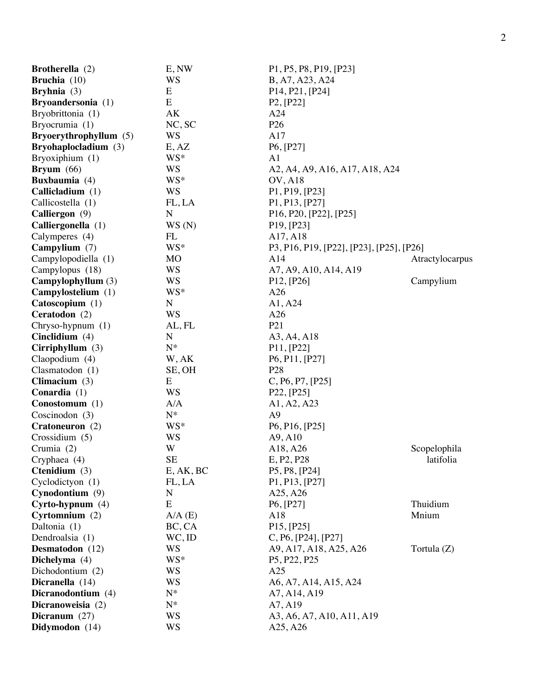| Brotherella (2)        | E, NW       | P1, P5, P8, P19, [P23]                                                     |                 |
|------------------------|-------------|----------------------------------------------------------------------------|-----------------|
| <b>Bruchia</b> $(10)$  | WS          | B, A7, A23, A24                                                            |                 |
| <b>Bryhnia</b> $(3)$   | E           | P <sub>14</sub> , P <sub>21</sub> , [P <sub>24</sub> ]                     |                 |
| Bryoandersonia (1)     | E           | P2, [P22]                                                                  |                 |
| Bryobrittonia (1)      | AK          | A24                                                                        |                 |
| Bryocrumia (1)         | NC, SC      | P <sub>26</sub>                                                            |                 |
| Bryoerythrophyllum (5) | WS          | A17                                                                        |                 |
| Bryohaplocladium (3)   | E, AZ       | P6, [P27]                                                                  |                 |
| Bryoxiphium (1)        | WS*         | A <sub>1</sub>                                                             |                 |
| <b>Bryum</b> $(66)$    | <b>WS</b>   | A2, A4, A9, A16, A17, A18, A24                                             |                 |
| <b>Buxbaumia</b> (4)   | WS*         | <b>OV, A18</b>                                                             |                 |
| Callicladium (1)       | <b>WS</b>   | P1, P19, [P23]                                                             |                 |
| Callicostella (1)      | FL, LA      | P <sub>1</sub> , P <sub>13</sub> , [P <sub>27</sub> ]                      |                 |
| Calliergon (9)         | N           | P <sub>16</sub> , P <sub>20</sub> , [P <sub>22</sub> ], [P <sub>25</sub> ] |                 |
| Calliergonella (1)     | WS(N)       | P <sub>19</sub> , [P <sub>23</sub> ]                                       |                 |
|                        | FL          | A17, A18                                                                   |                 |
| Calymperes (4)         |             |                                                                            |                 |
| Campylium (7)          | WS*         | P3, P16, P19, [P22], [P23], [P25], [P26]                                   |                 |
| Campylopodiella (1)    | MO          | A14                                                                        | Atractylocarpus |
| Campylopus (18)        | <b>WS</b>   | A7, A9, A10, A14, A19                                                      |                 |
| Campylophyllum (3)     | <b>WS</b>   | P12, [P26]                                                                 | Campylium       |
| Campylostelium (1)     | WS*         | A26                                                                        |                 |
| Catoscopium (1)        | ${\bf N}$   | A1, A24                                                                    |                 |
| Ceratodon (2)          | <b>WS</b>   | A26                                                                        |                 |
| Chryso-hypnum (1)      | AL, FL      | P <sub>21</sub>                                                            |                 |
| Cinclidium $(4)$       | $\mathbf N$ | A3, A4, A18                                                                |                 |
| Cirriphyllum $(3)$     | $N^*$       | P11, [P22]                                                                 |                 |
| Claopodium (4)         | W, AK       | P6, P11, [P27]                                                             |                 |
| Clasmatodon (1)        | SE, OH      | P <sub>28</sub>                                                            |                 |
| Climacium $(3)$        | E           | C, P6, P7, [P25]                                                           |                 |
| Conardia (1)           | WS          | P22, [P25]                                                                 |                 |
| Conostomum (1)         | A/A         | A1, A2, A23                                                                |                 |
| Coscinodon $(3)$       | $N^*$       | A <sub>9</sub>                                                             |                 |
| Cratoneuron (2)        | WS*         | P6, P16, [P25]                                                             |                 |
| Crossidium (5)         | WS          | A9, A10                                                                    |                 |
| Crumia (2)             | W           | A18, A26                                                                   | Scopelophila    |
| Cryphaea (4)           | <b>SE</b>   | E, P2, P28                                                                 | latifolia       |
| Ctenidium (3)          | E, AK, BC   | P <sub>5</sub> , P <sub>8</sub> , [P <sub>24</sub> ]                       |                 |
| Cyclodictyon (1)       | FL, LA      | P1, P13, [P27]                                                             |                 |
| Cynodontium $(9)$      | $\mathbf N$ | A25, A26                                                                   |                 |
| $Cyrto-hypnum(4)$      | E           | P6, [P27]                                                                  | Thuidium        |
| Cyrtomnium $(2)$       | $A/A$ (E)   | A18                                                                        | Mnium           |
| Daltonia (1)           | BC, CA      | P15, [P25]                                                                 |                 |
| Dendroalsia (1)        | $WC$ , ID   | C, P6, [P24], [P27]                                                        |                 |
| Desmatodon (12)        | <b>WS</b>   | A9, A17, A18, A25, A26                                                     | Tortula $(Z)$   |
| Dichelyma (4)          | WS*         | P <sub>5</sub> , P <sub>22</sub> , P <sub>25</sub>                         |                 |
| Dichodontium (2)       | WS          | A25                                                                        |                 |
| Dicranella (14)        | <b>WS</b>   | A6, A7, A14, A15, A24                                                      |                 |
| Dicranodontium (4)     | $N^*$       | A7, A14, A19                                                               |                 |
| Dicranoweisia (2)      | $N^*$       | A7, A19                                                                    |                 |
| Dicranum $(27)$        | <b>WS</b>   | A3, A6, A7, A10, A11, A19                                                  |                 |
| Didymodon (14)         | <b>WS</b>   | A25, A26                                                                   |                 |
|                        |             |                                                                            |                 |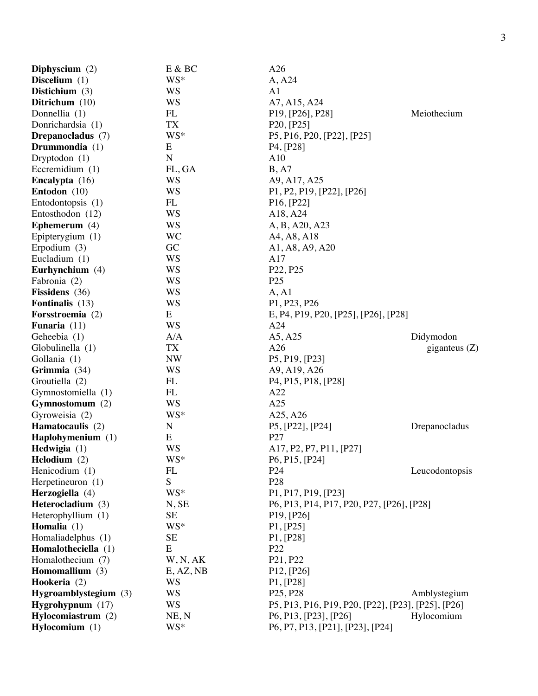| Diphyscium $(2)$         | E & BC      | A26                                                                     |                 |
|--------------------------|-------------|-------------------------------------------------------------------------|-----------------|
| Discelium $(1)$          | WS*         | A, A24                                                                  |                 |
| Distichium $(3)$         | WS          | A1                                                                      |                 |
| Ditrichum (10)           | <b>WS</b>   | A7, A15, A24                                                            |                 |
| Donnellia (1)            | FL          | P <sub>19</sub> , [P <sub>26</sub> ], P <sub>28</sub> ]                 | Meiothecium     |
| Donrichardsia (1)        | <b>TX</b>   | P20, [P25]                                                              |                 |
| <b>Drepanocladus</b> (7) | WS*         | P5, P16, P20, [P22], [P25]                                              |                 |
| Drummondia (1)           | E           | P <sub>4</sub> , [P <sub>28</sub> ]                                     |                 |
| Dryptodon $(1)$          | ${\bf N}$   | A10                                                                     |                 |
| Eccremidium $(1)$        | FL, GA      | B, A7                                                                   |                 |
| Encalypta (16)           | WS          | A9, A17, A25                                                            |                 |
| Entodon (10)             | <b>WS</b>   | P1, P2, P19, [P22], [P26]                                               |                 |
| Entodontopsis (1)        | FL          | P16, [P22]                                                              |                 |
| Entosthodon (12)         | <b>WS</b>   | A18, A24                                                                |                 |
| Ephemerum $(4)$          | <b>WS</b>   | A, B, A20, A23                                                          |                 |
| Epipterygium (1)         | <b>WC</b>   | A4, A8, A18                                                             |                 |
| Erpodium $(3)$           | GC          | A1, A8, A9, A20                                                         |                 |
| Eucladium (1)            | <b>WS</b>   | A17                                                                     |                 |
| Eurhynchium (4)          | <b>WS</b>   | P22, P25                                                                |                 |
| Fabronia (2)             | <b>WS</b>   | P <sub>25</sub>                                                         |                 |
| Fissidens (36)           | <b>WS</b>   | A, A1                                                                   |                 |
| <b>Fontinalis</b> (13)   | <b>WS</b>   | P1, P23, P26                                                            |                 |
| Forsstroemia (2)         | E           | E, P4, P19, P20, [P25], [P26], [P28]                                    |                 |
| <b>Funaria</b> $(11)$    | <b>WS</b>   | A24                                                                     |                 |
| Geheebia (1)             | A/A         | A5, A25                                                                 | Didymodon       |
| Globulinella (1)         | TX          | A26                                                                     | giganteus $(Z)$ |
| Gollania (1)             | <b>NW</b>   | P5, P19, [P23]                                                          |                 |
| Grimmia (34)             | <b>WS</b>   | A9, A19, A26                                                            |                 |
| Groutiella (2)           | FL          | P <sub>4</sub> , P <sub>15</sub> , P <sub>18</sub> , [P <sub>28</sub> ] |                 |
| Gymnostomiella (1)       | FL          | A22                                                                     |                 |
| Gymnostomum (2)          | <b>WS</b>   | A25                                                                     |                 |
| Gyroweisia (2)           | WS*         | A25, A26                                                                |                 |
| Hamatocaulis (2)         | $\mathbf N$ | P5, [P22], [P24]                                                        | Drepanocladus   |
| Haplohymenium (1)        | ${\bf E}$   | P27                                                                     |                 |
| Hedwigia $(1)$           | WS          | A17, P2, P7, P11, [P27]                                                 |                 |
| Helodium $(2)$           | WS*         | P6, P15, [P24]                                                          |                 |
| Henicodium (1)           | FL          | P <sub>24</sub>                                                         | Leucodontopsis  |
| Herpetineuron (1)        | S           | P <sub>28</sub>                                                         |                 |
| Herzogiella (4)          | WS*         | P1, P17, P19, [P23]                                                     |                 |
| Heterocladium (3)        | N, SE       | P6, P13, P14, P17, P20, P27, [P26], [P28]                               |                 |
| Heterophyllium (1)       | <b>SE</b>   | P <sub>19</sub> , [P <sub>26</sub> ]                                    |                 |
| <b>Homalia</b> $(1)$     | WS*         | P1, [P25]                                                               |                 |
| Homaliadelphus (1)       | <b>SE</b>   | P1, [P28]                                                               |                 |
| Homalotheciella (1)      | ${\bf E}$   | P <sub>22</sub>                                                         |                 |
| Homalothecium (7)        | W, N, AK    | P <sub>21</sub> , P <sub>22</sub>                                       |                 |
| Homomallium (3)          | E, AZ, NB   | P <sub>12</sub> , [P <sub>26</sub> ]                                    |                 |
| Hookeria (2)             | WS          | P1, [P28]                                                               |                 |
| Hygroamblystegium (3)    | <b>WS</b>   | P <sub>25</sub> , P <sub>28</sub>                                       | Amblystegium    |
| Hygrohypnum (17)         | <b>WS</b>   | P5, P13, P16, P19, P20, [P22], [P23], [P25], [P26]                      |                 |
| Hylocomiastrum (2)       | NE, N       | P6, P13, [P23], [P26]                                                   | Hylocomium      |
| Hylocomium (1)           | WS*         | P6, P7, P13, [P21], [P23], [P24]                                        |                 |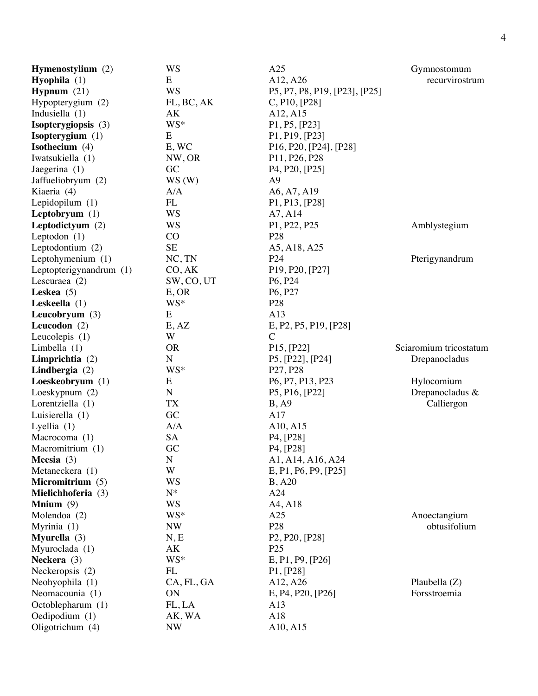| Hymenostylium (2)         | <b>WS</b>   | A25                                                                 | Gymnostomum            |
|---------------------------|-------------|---------------------------------------------------------------------|------------------------|
| <b>Hyophila</b> $(1)$     | E           | A12, A26                                                            | recurvirostrum         |
| <b>Hypnum</b> $(21)$      | <b>WS</b>   | P5, P7, P8, P19, [P23], [P25]                                       |                        |
| Hypopterygium (2)         | FL, BC, AK  | C, P10, [P28]                                                       |                        |
| Indusiella $(1)$          | AK          | A12, A15                                                            |                        |
| Isopterygiopsis (3)       | WS*         | P1, P5, [P23]                                                       |                        |
| <b>Isopterygium</b> $(1)$ | ${\bf E}$   | P1, P19, [P23]                                                      |                        |
| Isothecium (4)            | E, WC       | P16, P20, [P24], [P28]                                              |                        |
| Iwatsukiella (1)          | NW, OR      | P11, P26, P28                                                       |                        |
| Jaegerina (1)             | GC          | P <sub>4</sub> , P <sub>20</sub> , [P <sub>25</sub> ]               |                        |
| Jaffueliobryum (2)        | WS(W)       | A <sub>9</sub>                                                      |                        |
| Kiaeria (4)               | A/A         | A6, A7, A19                                                         |                        |
| Lepidopilum (1)           | FL          | P1, P13, [P28]                                                      |                        |
| Leptobryum $(1)$          | <b>WS</b>   | A7, A14                                                             |                        |
| Leptodictyum (2)          | <b>WS</b>   | P1, P22, P25                                                        | Amblystegium           |
| Leptodon $(1)$            | CO          | P <sub>28</sub>                                                     |                        |
| Leptodontium (2)          | <b>SE</b>   | A5, A18, A25                                                        |                        |
| Leptohymenium (1)         | NC, TN      | P <sub>24</sub>                                                     | Pterigynandrum         |
| Leptopterigynandrum (1)   | CO, AK      | P <sub>19</sub> , P <sub>20</sub> , [P <sub>27</sub> ]              |                        |
|                           |             |                                                                     |                        |
| Lescuraea $(2)$           | SW, CO, UT  | P <sub>6</sub> , P <sub>24</sub>                                    |                        |
| Leskea $(5)$              | E, OR       | P6, P27                                                             |                        |
| Leskeella $(1)$           | WS*         | P <sub>28</sub>                                                     |                        |
| Leucobryum (3)            | E           | A13                                                                 |                        |
| Leucodon $(2)$            | E, AZ       | E, P2, P5, P19, [P28]                                               |                        |
| Leucolepis $(1)$          | W           | $\mathcal{C}$                                                       |                        |
| Limbella $(1)$            | <b>OR</b>   | P15, [P22]                                                          | Sciaromium tricostatum |
| Limprichtia (2)           | ${\bf N}$   | P5, [P22], [P24]                                                    | Drepanocladus          |
| Lindbergia $(2)$          | WS*         | P27, P28                                                            |                        |
| Loeskeobryum (1)          | E           | P <sub>6</sub> , P <sub>7</sub> , P <sub>13</sub> , P <sub>23</sub> | Hylocomium             |
| Loeskypnum (2)            | ${\bf N}$   | P5, P16, [P22]                                                      | Drepanocladus &        |
| Lorentziella (1)          | TX          | B, A9                                                               | Calliergon             |
| Luisierella (1)           | GC          | A17                                                                 |                        |
| Lyellia $(1)$             | A/A         | A10, A15                                                            |                        |
| Macrocoma (1)             | <b>SA</b>   | P <sub>4</sub> , [P <sub>28</sub> ]                                 |                        |
| Macromitrium (1)          | GC          | P4, [P28]                                                           |                        |
| Meesia $(3)$              | $\mathbf N$ | A1, A14, A16, A24                                                   |                        |
| Metaneckera (1)           | W           | E, P1, P6, P9, [P25]                                                |                        |
| Micromitrium (5)          | <b>WS</b>   | <b>B</b> , A20                                                      |                        |
| Mielichhoferia (3)        | $N^*$       | A24                                                                 |                        |
| <b>Mnium</b> $(9)$        | <b>WS</b>   | A4, A18                                                             |                        |
| Molendoa (2)              | WS*         | A25                                                                 | Anoectangium           |
| Myrinia $(1)$             | <b>NW</b>   | P <sub>28</sub>                                                     | obtusifolium           |
| <b>Myurella</b> $(3)$     | N, E        | P <sub>2</sub> , P <sub>20</sub> , [P <sub>28</sub> ]               |                        |
| Myuroclada (1)            | AK          | P <sub>25</sub>                                                     |                        |
| Neckera (3)               | WS*         | E, P1, P9, [P26]                                                    |                        |
| Neckeropsis (2)           | FL          | P1, [P28]                                                           |                        |
| Neohyophila (1)           | CA, FL, GA  | A12, A26                                                            | Plaubella $(Z)$        |
| Neomacounia (1)           | ON          | E, P4, P20, [P26]                                                   | Forsstroemia           |
| Octoblepharum (1)         | FL, LA      | A13                                                                 |                        |
| Oedipodium (1)            | AK, WA      | A18                                                                 |                        |
| Oligotrichum (4)          | <b>NW</b>   | A10, A15                                                            |                        |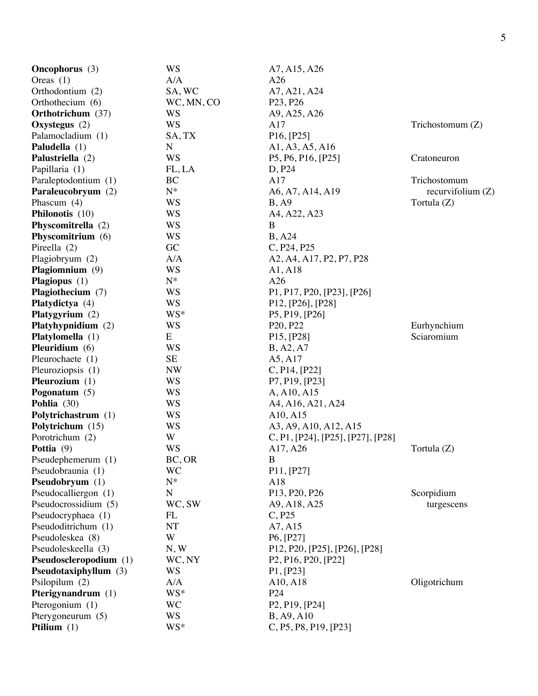| <b>Oncophorus</b> (3)    | <b>WS</b>   | A7, A15, A26                                                            |                    |
|--------------------------|-------------|-------------------------------------------------------------------------|--------------------|
| Oreas $(1)$              | A/A         | A26                                                                     |                    |
| Orthodontium (2)         | SA, WC      | A7, A21, A24                                                            |                    |
| Orthothecium (6)         | WC, MN, CO  | P <sub>23</sub> , P <sub>26</sub>                                       |                    |
| <b>Orthotrichum</b> (37) | WS          | A9, A25, A26                                                            |                    |
| Oxystegus (2)            | <b>WS</b>   | A17                                                                     | Trichostomum $(Z)$ |
| Palamocladium (1)        | SA, TX      | P16, [P25]                                                              |                    |
| Paludella (1)            | N           |                                                                         |                    |
|                          | <b>WS</b>   | A1, A3, A5, A16                                                         |                    |
| Palustriella (2)         | FL, LA      | P5, P6, P16, [P25]                                                      | Cratoneuron        |
| Papillaria (1)           |             | D, P24                                                                  |                    |
| Paraleptodontium (1)     | BC          | A17                                                                     | Trichostomum       |
| Paraleucobryum (2)       | $N^*$       | A6, A7, A14, A19                                                        | recurvifolium (Z)  |
| Phascum $(4)$            | WS          | B, A9                                                                   | Tortula (Z)        |
| Philonotis (10)          | <b>WS</b>   | A4, A22, A23                                                            |                    |
| Physcomitrella (2)       | <b>WS</b>   | B                                                                       |                    |
| Physcomitrium (6)        | <b>WS</b>   | <b>B</b> , A24                                                          |                    |
| Pireella (2)             | GC          | C, P24, P25                                                             |                    |
| Plagiobryum (2)          | A/A         | A2, A4, A17, P2, P7, P28                                                |                    |
| Plagiomnium (9)          | <b>WS</b>   | A1, A18                                                                 |                    |
| Plagiopus (1)            | $N^*$       | A26                                                                     |                    |
| Plagiothecium (7)        | <b>WS</b>   | P1, P17, P20, [P23], [P26]                                              |                    |
| Platydictya (4)          | <b>WS</b>   | P <sub>12</sub> , [P <sub>26</sub> ], [P <sub>28</sub> ]                |                    |
| Platygyrium (2)          | WS*         | P5, P19, [P26]                                                          |                    |
| Platyhypnidium (2)       | <b>WS</b>   | P <sub>20</sub> , P <sub>22</sub>                                       | Eurhynchium        |
| Platylomella (1)         | E           | P <sub>15</sub> , [P <sub>28</sub> ]                                    | Sciaromium         |
| Pleuridium (6)           | WS          | B, A2, A7                                                               |                    |
| Pleurochaete (1)         | <b>SE</b>   | A5, A17                                                                 |                    |
| Pleuroziopsis (1)        | <b>NW</b>   | C, P14, [P22]                                                           |                    |
| Pleurozium (1)           | WS          | P7, P19, [P23]                                                          |                    |
| Pogonatum $(5)$          | WS          | A, A10, A15                                                             |                    |
| Pohlia (30)              | WS          | A4, A16, A21, A24                                                       |                    |
| Polytrichastrum (1)      | WS          | A10, A15                                                                |                    |
| Polytrichum (15)         | <b>WS</b>   | A3, A9, A10, A12, A15                                                   |                    |
| Porotrichum (2)          | W           | C, P1, [P24], [P25], [P27], [P28]                                       |                    |
| <b>Pottia</b> $(9)$      | <b>WS</b>   | A17, A26                                                                | Tortula (Z)        |
| Pseudephemerum (1)       | BC, OR      | B                                                                       |                    |
| Pseudobraunia (1)        | <b>WC</b>   | P11, [P27]                                                              |                    |
| Pseudobryum (1)          | $N^*$       | A18                                                                     |                    |
| Pseudocalliergon (1)     | $\mathbf N$ | P13, P20, P26                                                           | Scorpidium         |
| Pseudocrossidium (5)     | WC, SW      | A9, A18, A25                                                            | turgescens         |
| Pseudocryphaea (1)       | FL          | C, P25                                                                  |                    |
| Pseudoditrichum (1)      | NT          | A7, A15                                                                 |                    |
| Pseudoleskea (8)         | W           | P6, [P27]                                                               |                    |
| Pseudoleskeella (3)      | N, W        | P12, P20, [P25], [P26], [P28]                                           |                    |
|                          |             |                                                                         |                    |
| Pseudoscleropodium (1)   | WC, NY      | P <sub>2</sub> , P <sub>16</sub> , P <sub>20</sub> , [P <sub>22</sub> ] |                    |
| Pseudotaxiphyllum (3)    | <b>WS</b>   | P1, [P23]                                                               |                    |
| Psilopilum (2)           | A/A         | A10, A18                                                                | Oligotrichum       |
| Pterigynandrum (1)       | WS*         | P <sub>24</sub>                                                         |                    |
| Pterogonium (1)          | <b>WC</b>   | P <sub>2</sub> , P <sub>19</sub> , [P <sub>24</sub> ]                   |                    |
| Pterygoneurum (5)        | <b>WS</b>   | <b>B</b> , A9, A10                                                      |                    |
| Ptilium $(1)$            | WS*         | C, P5, P8, P19, [P23]                                                   |                    |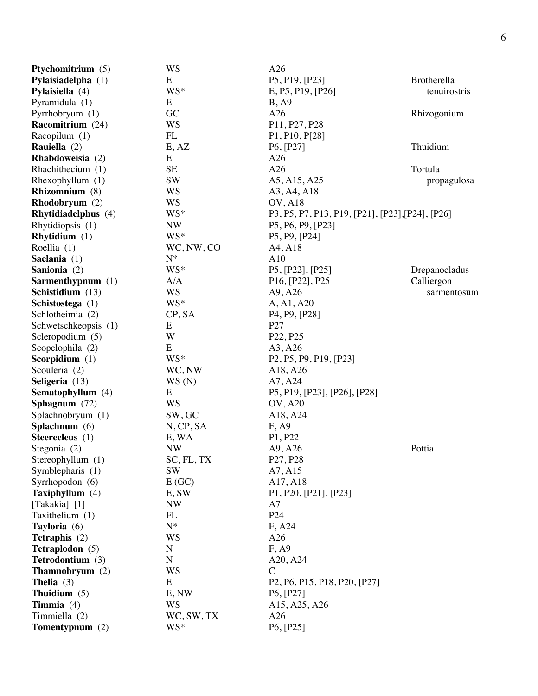| Ptychomitrium (5)    | WS                 | A26                                                                                                        |               |
|----------------------|--------------------|------------------------------------------------------------------------------------------------------------|---------------|
| Pylaisiadelpha (1)   | E                  | P5, P19, [P23]                                                                                             | Brotherella   |
| Pylaisiella (4)      | WS*                | E, P5, P19, [P26]                                                                                          | tenuirostris  |
| Pyramidula (1)       | E                  | B, A9                                                                                                      |               |
| Pyrrhobryum (1)      | GC                 | A26                                                                                                        | Rhizogonium   |
| Racomitrium (24)     | <b>WS</b>          | P11, P27, P28                                                                                              |               |
| Racopilum (1)        | FL                 | P1, P10, P[28]                                                                                             |               |
| Rauiella (2)         | E, AZ              | P <sub>6</sub> , [P <sub>27</sub> ]                                                                        | Thuidium      |
| Rhabdoweisia (2)     | E                  | A26                                                                                                        |               |
| Rhachithecium (1)    | <b>SE</b>          | A26                                                                                                        | Tortula       |
| Rhexophyllum $(1)$   | <b>SW</b>          | A5, A15, A25                                                                                               | propagulosa   |
| Rhizomnium (8)       | <b>WS</b>          | A3, A4, A18                                                                                                |               |
| Rhodobryum (2)       | <b>WS</b>          | <b>OV, A18</b>                                                                                             |               |
| Rhytidiadelphus (4)  | WS*                | P3, P5, P7, P13, P19, [P21], [P23], [P24], [P26]                                                           |               |
| Rhytidiopsis (1)     | <b>NW</b>          | P5, P6, P9, [P23]                                                                                          |               |
| Rhytidium $(1)$      | WS*                | P5, P9, [P24]                                                                                              |               |
| Roellia (1)          | WC, NW, CO         | A4, A18                                                                                                    |               |
| Saelania (1)         | $N^*$              | A10                                                                                                        |               |
| Sanionia (2)         | WS*                | P5, [P22], [P25]                                                                                           | Drepanocladus |
| Sarmenthypnum (1)    | A/A                | P <sub>16</sub> , [P <sub>22</sub> ], P <sub>25</sub>                                                      | Calliergon    |
| Schistidium (13)     | <b>WS</b>          | A9, A26                                                                                                    | sarmentosum   |
| Schistostega (1)     | WS*                | A, A1, A20                                                                                                 |               |
| Schlotheimia (2)     | CP, SA             | P <sub>4</sub> , P <sub>9</sub> , [P <sub>28</sub> ]                                                       |               |
| Schwetschkeopsis (1) | E                  | P <sub>27</sub>                                                                                            |               |
| Scleropodium (5)     | W                  | P <sub>22</sub> , P <sub>25</sub>                                                                          |               |
| Scopelophila (2)     | ${\bf E}$          | A3, A26                                                                                                    |               |
| Scorpidium (1)       | WS*                | P <sub>2</sub> , P <sub>5</sub> , P <sub>9</sub> , P <sub>19</sub> , [P <sub>23</sub> ]                    |               |
| Scouleria (2)        | WC, NW             | A18, A26                                                                                                   |               |
| Seligeria (13)       |                    | A7, A24                                                                                                    |               |
|                      | WS(N)<br>E         |                                                                                                            |               |
| Sematophyllum (4)    | <b>WS</b>          | P5, P19, [P23], [P26], [P28]                                                                               |               |
| Sphagnum (72)        |                    | <b>OV, A20</b>                                                                                             |               |
| Splachnobryum (1)    | SW, GC             | A18, A24                                                                                                   |               |
| Splachnum (6)        | N, CP, SA          | F, A9                                                                                                      |               |
| Steerecleus (1)      | E, WA<br><b>NW</b> | P1, P22                                                                                                    |               |
| Stegonia (2)         |                    | A9, A26                                                                                                    | Pottia        |
| Stereophyllum (1)    | SC, FL, TX         | P27, P28                                                                                                   |               |
| Symblepharis (1)     | <b>SW</b>          | A7, A15                                                                                                    |               |
| Syrrhopodon (6)      | E(GC)              | A17, A18                                                                                                   |               |
| Taxiphyllum (4)      | E, SW              | P <sub>1</sub> , P <sub>20</sub> , [P <sub>21</sub> ], [P <sub>23</sub> ]                                  |               |
| [Takakia] [1]        | <b>NW</b>          | A7<br>P <sub>24</sub>                                                                                      |               |
| Taxithelium (1)      | FL<br>$N^*$        |                                                                                                            |               |
| Tayloria (6)         |                    | F, A24                                                                                                     |               |
| Tetraphis (2)        | WS                 | A26                                                                                                        |               |
| Tetraplodon (5)      | $\mathbf N$        | F, A9                                                                                                      |               |
| Tetrodontium (3)     | ${\bf N}$          | A20, A24                                                                                                   |               |
| Thamnobryum (2)      | <b>WS</b>          | $\mathsf{C}$                                                                                               |               |
| <b>Thelia</b> $(3)$  | E                  | P <sub>2</sub> , P <sub>6</sub> , P <sub>15</sub> , P <sub>18</sub> , P <sub>20</sub> , [P <sub>27</sub> ] |               |
| Thuidium $(5)$       | E, NW              | P <sub>6</sub> , [P <sub>27</sub> ]                                                                        |               |
| Timmia $(4)$         | <b>WS</b>          | A15, A25, A26                                                                                              |               |
| Timmiella (2)        | WC, SW, TX         | A26                                                                                                        |               |
| Tomentypnum (2)      | WS*                | P6, [P25]                                                                                                  |               |